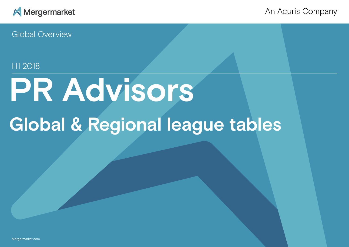

An Acuris Company

Global Overview

# H1 2018

# **PR Advisors Global & Regional league tables**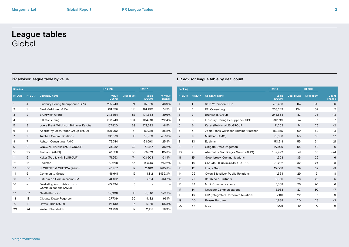# **League tables** Global

| Ranking        |                          |                                                     | H1 2018          |                   | H1 2017          |                   | Ranking        |                 |
|----------------|--------------------------|-----------------------------------------------------|------------------|-------------------|------------------|-------------------|----------------|-----------------|
| H1 2018        | H1 2017                  | <b>Company name</b>                                 | Value<br>(US\$m) | <b>Deal count</b> | Value<br>(US\$m) | % Value<br>change | H1 2018        | H <sub>12</sub> |
| 1              | $\overline{4}$           | Finsbury Hering Schuppener GPG                      | 292,749          | 74                | 117,639          | 148.9%            | $\mathbf{1}$   | $\mathbf{1}$    |
| 2              | $\mathbf{1}$             | Sard Verbinnen & Co.                                | 251,458          | 114               | 191,290          | 31.5%             | $\overline{2}$ | $\overline{2}$  |
| 3              | $\overline{2}$           | <b>Brunswick Group</b>                              | 243,854          | 83                | 174,638          | 39.6%             | 3              | 3               |
| 4              | 5                        | FTI Consulting                                      | 233,249          | 104               | 104,891          | 122.4%            | $\overline{4}$ | 5               |
| 5              | 3                        | Joele Frank Wilkinson Brimmer Katcher               | 157,820          | 69                | 172,522          | $-8.5%$           | 5              | 6               |
| 6              | 8                        | Abernathy MacGregor Group (AMO)                     | 109,992          | 41                | 59,375           | 85.2%             | 6              | 4               |
| $\overline{7}$ | 13                       | <b>Tulchan Communications</b>                       | 90,679           | 18                | 15,969           | 467.8%            | $\overline{7}$ | 9               |
| 8              | 7                        | Ashton Consulting (AMO)                             | 79,744           | $\mathbf{1}$      | 63,590           | 25.4%             | 8              | 10              |
| 9              | 9                        | CNC/JKL (Publicis/MSLGROUP)                         | 78,282           | 32                | 57,487           | 36.2%             | 9              | 8               |
| 10             | 10                       | Maitland (AMO)                                      | 76,858           | 55                | 35,621           | 115.8%            | 10             | $\overline{7}$  |
| 11             | 6                        | Kekst (Publicis/MSLGROUP)                           | 71,253           | 74                | 103,904          | $-31.4%$          | 11             | 15              |
| 12             | 16                       | Edelman                                             | 50,218           | 55                | 14,300           | 251.2%            | 12             | 18              |
| 13             | 50                       | LLORENTE & CUENCA (AMO)                             | 46,767           | 12                | 2,480            | 1785.8%           | 13             | 12              |
| 14             | 61                       | <b>Community Group</b>                              | 46,641           | 15                | 1,312            | 3455.0%           | 14             | 22              |
| 15             | 27                       | Estudio de Comunicacion SA                          | 41,452           | 8                 | 7,514            | 451.7%            | 15             | 21              |
| 16             | $\overline{\phantom{0}}$ | Deekeling Arndt Advisors in<br>Communications (AMO) | 40,494           | 3                 |                  |                   | 16<br>17       | 24<br>14        |
| 17             | 37                       | Gasthalter & Co.                                    | 39.008           | 18                | 5.346            | 629.7%            | 18             | 13              |
| 18             | 18                       | Citigate Dewe Rogerson                              | 27.709           | 55                | 14,132           | 96.1%             | 19             | 20              |
| 19             | 12                       | Havas Paris (AMO)                                   | 26,619           | 16                | 17,135           | 55.3%             | 20             | 44              |
| 20             | 24                       | <b>Weber Shandwick</b>                              | 19.956           | 12                | 11.157           | 78.9%             |                |                 |
|                |                          |                                                     |                  |                   |                  |                   |                |                 |

| Ranking |                |                                       | H1 2018            |                   | H1 2017           |                 |
|---------|----------------|---------------------------------------|--------------------|-------------------|-------------------|-----------------|
| H1 2018 | H1 2017        | <b>Company name</b>                   | Value<br>$(US\$ m) | <b>Deal count</b> | <b>Deal count</b> | Count<br>change |
| 1       | $\mathbf{1}$   | Sard Verbinnen & Co.                  | 251,458            | 114               | 120               | $-6$            |
| 2       | $\overline{2}$ | <b>FTI Consulting</b>                 | 233,249            | 104               | 102               | 2               |
| 3       | 3              | <b>Brunswick Group</b>                | 243,854            | 83                | 96                | $-13$           |
| 4       | 5              | Finsbury Hering Schuppener GPG        | 292,749            | 74                | 81                | $-7$            |
| 5       | 6              | Kekst (Publicis/MSLGROUP)             | 71,253             | 74                | 76                | $-2$            |
| 6       | 4              | Joele Frank Wilkinson Brimmer Katcher | 157,820            | 69                | 82                | $-13$           |
| 7       | 9              | Maitland (AMO)                        | 76,858             | 55                | 38                | 17              |
| 8       | 10             | Edelman                               | 50,218             | 55                | 34                | 21              |
| 9       | 8              | Citigate Dewe Rogerson                | 27,709             | 55                | 49                | 6               |
| 10      | $\overline{7}$ | Abernathy MacGregor Group (AMO)       | 109,992            | 41                | 65                | $-24$           |
| 11      | 15             | <b>Greenbrook Communications</b>      | 14,358             | 35                | 29                | 6               |
| 12      | 18             | CNC/JKL (Publicis/MSLGROUP)           | 78,282             | 32                | 24                | 8               |
| 13      | 12             | Image Sept                            | 15,608             | 29                | 32                | -3              |
| 14      | 22             | Owen Blicksilver Public Relations     | 1,664              | 29                | 21                | 8               |
| 15      | 21             | Barabino & Partners                   | 9,336              | 28                | 23                | 5               |
| 16      | 24             | <b>MHP Communications</b>             | 3,568              | 26                | 20                | 6               |
| 17      | 14             | Newgate Communications                | 5,983              | 23                | 30                | $-7$            |
| 18      | 13             | ICR (Integrated Corporate Relations)  | 2,811              | 22                | 31                | -9              |
| 19      | 20             | <b>Prosek Partners</b>                | 4,888              | 20                | 23                | -3              |
| 20      | 44             | MC2                                   | 905                | 19                | 10                | 9               |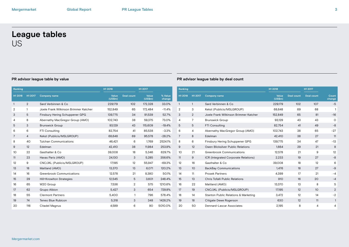# **League tables** US

| Ranking        |                |                                       | H1 2018          |                   | H1 2017          |                   | Ranking        |              |    |
|----------------|----------------|---------------------------------------|------------------|-------------------|------------------|-------------------|----------------|--------------|----|
| H1 2018        | H1 2017        | <b>Company name</b>                   | Value<br>(US\$m) | <b>Deal count</b> | Value<br>(US\$m) | % Value<br>change | H1 2018        | H1 2017      | C  |
| $\mathbf{1}$   | 2              | Sard Verbinnen & Co.                  | 229,179          | 102               | 172,328          | 33.0%             | $\mathbf{1}$   | $\mathbf{1}$ | S  |
| $\overline{2}$ |                | Joele Frank Wilkinson Brimmer Katcher | 152,849          | 65                | 172,484          | $-11.4%$          | $\overline{2}$ | 3            | Κ  |
| 3              | 5              | Finsbury Hering Schuppener GPG        | 139,775          | 34                | 91,539           | 52.7%             | 3              | 2            | J۱ |
| 4              | 8              | Abernathy MacGregor Group (AMO)       | 102,743          | 38                | 59,375           | 73.0%             | 4              | 7            | B  |
| 5              | 3              | <b>Brunswick Group</b>                | 93,129           | 43                | 115,609          | $-19.4%$          | 5              | 5            | F  |
| 6              | 6              | FTI Consulting                        | 82,754           | 41                | 85,538           | $-3.3%$           | 6              | 4            | A  |
| 7              | $\overline{4}$ | Kekst (Publicis/MSLGROUP)             | 68,648           | 69                | 95,578           | $-28.2%$          | $\overline{7}$ | 8            | Е  |
| 8              | 40             | <b>Tulchan Communications</b>         | 46,421           | 6                 | 1,769            | 2524.1%           | 8              | 6            | F  |
| 9              | 12             | Edelman                               | 42,410           | 38                | 11,984           | 253.9%            | 9              | 12           | O  |
| 10             | 22             | Gasthalter & Co.                      | 39,008           | 18                | 5,346            | 629.7%            | 10             | 21           | G  |
| 11             | 23             | Havas Paris (AMO)                     | 24.130           | 3                 | 5,285            | 356.6%            | 11             | 9            | I  |
| 12             | 9              | CNC/JKL (Publicis/MSLGROUP)           | 17.195           | 12                | 55,947           | $-69.3%$          | 12             | 16           | G  |
| 13             | 18             | Maitland (AMO)                        | 13,370           | 13                | 6,071            | 120.2%            | 13             | 10           | B  |
| 14             | 16             | <b>Greenbrook Communications</b>      | 12,578           | 21                | 8,380            | 50.1%             | 14             | 11           | P  |
| 15             | 29             | Hill+Knowlton Strategies              | 12,545           | 5                 | 3,601            | 248.4%            | 15             | 13           | C  |
| 16             | 65             | W2O Group                             | 7,536            | 2                 | 575              | 1210.6%           | 16             | 22           | M  |
| 17             | 62             | Grupo Albion                          | 5,427            | 3                 | 654              | 729.8%            | 17             | 19           | C  |
| 18             | 55             | <b>Clermont Partners</b>              | 5,400            | 1                 | 796              | 578.4%            | 18             | 14           | S  |
| 19             | 74             | Teneo Blue Rubicon                    | 5,318            | 3                 | 348              | 1428.2%           | 19             | 18           | C  |
| 20             | 116            | Citadel Magnus                        | 4,599            | 6                 | 90               | 5010.0%           | 20             | 50           | D  |
|                |                |                                       |                  |                   |                  |                   |                |              |    |

| Ranking        |                |                                       | H1 2018                 |            | H1 2017           |                 |
|----------------|----------------|---------------------------------------|-------------------------|------------|-------------------|-----------------|
| H1 2018        | H1 2017        | <b>Company name</b>                   | <b>Value</b><br>(US\$m) | Deal count | <b>Deal count</b> | Count<br>change |
| 1              | $\mathbf{1}$   | Sard Verbinnen & Co.                  | 229,179                 | 102        | 107               | $-5$            |
| $\overline{2}$ | 3              | Kekst (Publicis/MSLGROUP)             | 68,648                  | 69         | 68                | 1               |
| 3              | 2              | Joele Frank Wilkinson Brimmer Katcher | 152.849                 | 65         | 81                | $-16$           |
| 4              | $\overline{7}$ | <b>Brunswick Group</b>                | 93,129                  | 43         | 43                | $\Omega$        |
| 5              | 5              | <b>FTI Consulting</b>                 | 82,754                  | 41         | 49                | $-8$            |
| 6              | 4              | Abernathy MacGregor Group (AMO)       | 102.743                 | 38         | 65                | $-27$           |
| 7              | 8              | Edelman                               | 42.410                  | 38         | 27                | 11              |
| 8              | 6              | Finsbury Hering Schuppener GPG        | 139,775                 | 34         | 47                | $-13$           |
| 9              | 12             | Owen Blicksilver Public Relations     | 1,664                   | 29         | 21                | 8               |
| 10             | 21             | <b>Greenbrook Communications</b>      | 12,578                  | 21         | 9                 | 12              |
| 11             | 9              | ICR (Integrated Corporate Relations)  | 2,233                   | 19         | 27                | $-8$            |
| 12             | 16             | Gasthalter & Co.                      | 39,008                  | 18         | 12                | 6               |
| 13             | 10             | <b>BackBay Communications</b>         | 1.476                   | 18         | 27                | -9              |
| 14             | 11             | <b>Prosek Partners</b>                | 4,399                   | 17         | 21                | -4              |
| 15             | 13             | Chris Tofalli Public Relations        | 910                     | 16         | 20                | $-4$            |
| 16             | 22             | Maitland (AMO)                        | 13,370                  | 13         | 8                 | 5               |
| 17             | 19             | CNC/JKL (Publicis/MSLGROUP)           | 17,195                  | 12         | 10                | 2               |
| 18             | 14             | Stanton Public Relations & Marketing  | 3,472                   | 12         | 14                | $-2$            |
| 19             | 18             | Citigate Dewe Rogerson                | 630                     | 12         | 11                | 1               |
| 20             | 50             | Dennard-Lascar Associates             | 2,195                   | 8          | 4                 | 4               |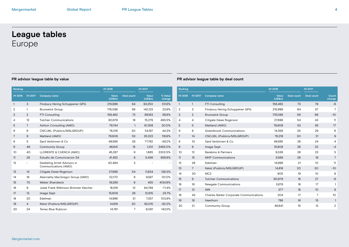# **League tables** Europe

| Ranking      |                |                                                     | H1 2018          |                   | H1 2017          |                   | Ran             |
|--------------|----------------|-----------------------------------------------------|------------------|-------------------|------------------|-------------------|-----------------|
| H1 2018      | H1 2017        | <b>Company name</b>                                 | Value<br>(US\$m) | <b>Deal count</b> | Value<br>(US\$m) | % Value<br>change | H <sub>12</sub> |
| $\mathbf{1}$ | 3              | Finsbury Hering Schuppener GPG                      | 215,996          | 64                | 93,250           | 131.6%            | $\mathbf{1}$    |
| 2            | 1              | <b>Brunswick Group</b>                              | 176,086          | 56                | 142,123          | 23.9%             | $\overline{2}$  |
| 3            | 2              | <b>FTI Consulting</b>                               | 158,462          | 73                | 99,163           | 59.8%             | 3               |
| 4            | 12             | <b>Tulchan Communications</b>                       | 90,679           | 18                | 15,279           | 493.5%            | 4               |
| 5            | $\overline{7}$ | Ashton Consulting (AMO)                             | 79,744           | $\mathbf{1}$      | 61,358           | 30.0%             | 5               |
| 6            | 8              | CNC/JKL (Publicis/MSLGROUP)                         | 78,216           | 30                | 54,187           | 44.3%             | 6               |
| 7            | 9              | Maitland (AMO)                                      | 76,608           | 53                | 35,323           | 116.9%            | $\overline{7}$  |
| 8            | 5              | Sard Verbinnen & Co                                 | 49,595           | 28                | 77,792           | $-36.2%$          | 8               |
| 9            | 46             | <b>Community Group</b>                              | 46,641           | 15                | 1,312            | 3455.0%           | $9\,$           |
| 10           | 40             | LLORENTE & CUENCA (AMO)                             | 45,287           | 9                 | 1,885            | 2302.5%           | 10 <sup>°</sup> |
| 11           | 26             | Estudio de Comunicacion SA                          | 41,452           | 8                 | 5,456            | 659.8%            | 11              |
| 12           |                | Deekeling Arndt Advisors in<br>Communications (AMO) | 40,494           | 3                 |                  |                   | 12<br>13        |
| 13           | 14             | Citigate Dewe Rogerson                              | 27.696           | 54                | 11.624           | 138.3%            | 14              |
| 14           | 16             | Abernathy MacGregor Group (AMO)                     | 22,170           | 9                 | 9,597            | 131.0%            | 15              |
| 15           | 70             | <b>Weber Shandwick</b>                              | 19,269           | 9                 | 455              | 4134.9%           | 16              |
| 16           | 6              | Joele Frank Wilkinson Brimmer Katcher               | 18,516           | 13                | 64,788           | $-71.4%$          | 17              |
| 17           | 13             | Image Sept                                          | 15,608           | 28                | 12,615           | 23.7%             | 18              |
| 18           | 20             | Edelman                                             | 14.996           | 21                | 7.357            | 103.8%            | 19              |
| 19           | $\overline{4}$ | Kekst (Publicis/MSLGROUP)                           | 14,818           | 20                | 83,015           | $-82.2%$          | 20              |
| 20           | 24             | Teneo Blue Rubicon                                  | 14,761           | 7                 | 6.061            | 143.5%            |                 |
|              |                |                                                     |                  |                   |                  |                   |                 |

| Ranking |                 |                                                | H1 2018          |                   | H1 2017         |                 |
|---------|-----------------|------------------------------------------------|------------------|-------------------|-----------------|-----------------|
| H1 2018 | H1 2017         | <b>Company name</b>                            | Value<br>(US\$m) | <b>Deal count</b> | Deal count      | Count<br>change |
| 1       | 1               | <b>FTI Consulting</b>                          | 158,462          | 73                | 79              | -6              |
| 2       | 3               | Finsbury Hering Schuppener GPG                 | 215,996          | 64                | 57              | 7               |
| 3       | $\overline{2}$  | <b>Brunswick Group</b>                         | 176.086          | 56                | 66              | $-10$           |
| 4       | 4               | Citigate Dewe Rogerson                         | 27,696           | 54                | 43              | 11              |
| 5       | 5               | Maitland (AMO)                                 | 76,608           | 53                | 36              | 17              |
| 6       | 8               | <b>Greenbrook Communications</b>               | 14.358           | 35                | 29              | 6               |
| 7       | 14              | CNC/JKL (Publicis/MSLGROUP)                    | 78,216           | 30                | 21              | 9               |
| 8       | 10 <sup>2</sup> | Sard Verbinnen & Co.                           | 49,595           | 28                | 24              | 4               |
| 9       | 6               | Image Sept                                     | 15,608           | 28                | 32              | $-4$            |
| 10      | 12              | <b>Barabino &amp; Partners</b>                 | 9,336            | 28                | 23              | 5               |
| 11      | 15              | <b>MHP Communications</b>                      | 3,568            | 26                | 19              | 7               |
| 12      | 26              | Edelman                                        | 14,996           | 21                | 10              | 11              |
| 13      | $\overline{7}$  | Kekst (Publicis/MSLGROUP)                      | 14,818           | 20                | 30              | $-10$           |
| 14      | 30              | MC <sub>2</sub>                                | 905              | 19                | 10              | 9               |
| 15      | 9               | <b>Tulchan Communications</b>                  | 90,679           | 18                | 27              | -9              |
| 16      | 16              | <b>Newgate Communications</b>                  | 3,679            | 18                | 17              | $\mathbf{1}$    |
| 17      | 31              | <b>IWK</b>                                     | 377              | 18                | 10 <sup>°</sup> | 8               |
| 18      | 43              | <b>Charles Barker Corporate Communications</b> | 304              | 17                | 7               | 10              |
| 19      | 18              | Hawthorn                                       | 788              | 16                | 15              | 1               |
| 20      | 21              | <b>Community Group</b>                         | 46.641           | 15                | 13              | $\overline{2}$  |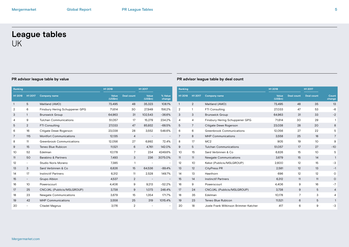# **League tables** UK

| Ranking         |                          |                                  | H1 2018          |                | H1 2017          |                          | Ranking        |                |             |
|-----------------|--------------------------|----------------------------------|------------------|----------------|------------------|--------------------------|----------------|----------------|-------------|
| H1 2018         | H1 2017                  | <b>Company name</b>              | Value<br>(US\$m) | Deal count     | Value<br>(US\$m) | % Value<br>change        | H1 2018        | H1 2017        | Co          |
| 1               | 5                        | Maitland (AMO)                   | 73,495           | 48             | 35,323           | 108.1%                   | $\mathbf{1}$   | $\overline{2}$ | Ma          |
| 2               | 6                        | Finsbury Hering Schuppener GPG   | 71,614           | 30             | 27,949           | 156.2%                   | $\overline{2}$ | 1              | FT.         |
| 3               | $\mathbf{1}$             | <b>Brunswick Group</b>           | 64,963           | 31             | 102,543          | $-36.6%$                 | 3              | 3              | Br          |
| 4               | 9                        | <b>Tulchan Communications</b>    | 51,057           | 17             | 15,279           | 234.2%                   | 4              | 4              | Fir         |
| 5               | 2                        | FTI Consulting                   | 27,033           | 47             | 85,932           | $-68.5%$                 | 5              | $\overline{7}$ | Ci          |
| 6               | 16                       | Citigate Dewe Rogerson           | 23,038           | 28             | 3,552            | 548.6%                   | 6              | 6              | Gr          |
| $\overline{7}$  | 115                      | <b>Montfort Communications</b>   | 12,135           | $\overline{4}$ |                  | $\overline{\phantom{a}}$ | $\overline{7}$ | 8              | MI          |
| 8               | 11                       | <b>Greenbrook Communications</b> | 12,056           | 27             | 6,992            | 72.4%                    | 8              | 17             | M           |
| 9               | 15                       | Teneo Blue Rubicon               | 11,521           | 6              | 4,761            | 142.0%                   | 9              | 5              | Tu          |
| 10 <sup>°</sup> | 52                       | Edelman                          | 10,178           | $\overline{7}$ | 234              | 4249.6%                  | 10             | 15             | Sa          |
| 11              | 50                       | Barabino & Partners              | 7,493            | 3              | 236              | 3075.0%                  | 11             | 11             | $N\epsilon$ |
| 12              | $\overline{\phantom{0}}$ | Studio Noris Morano              | 7,385            | $\mathbf{1}$   |                  | $\overline{\phantom{a}}$ | 12             | 10             | Ke          |
| 13              | 3                        | Sard Verbinnen & Co              | 6,826            | 15             | 64,536           | $-89.4%$                 | 13             | 12             | Ci          |
| 14              | 17                       | <b>Instinctif Partners</b>       | 6,312            | 11             | 2,528            | 149.7%                   | 14             | 13             | Ha          |
| 15              | $\overline{\phantom{0}}$ | Grupo Albion                     | 4,537            | 2              |                  | $\overline{\phantom{a}}$ | 15             | 14             | Ins         |
| 16              | 10                       | Powerscourt                      | 4,406            | 9              | 9,213            | $-52.2%$                 | 16             | 9              | Pc          |
| 17              | 25                       | CNC/JKL (Publicis/MSLGROUP)      | 3,738            | 9              | 1,073            | 248.4%                   | 17             | 24             | <b>CN</b>   |
| 18              | 23                       | <b>Newgate Communications</b>    | 3,679            | 15             | 1,354            | 171.7%                   | 18             | 35             | Ed          |
| 19              | 42                       | <b>MHP Communications</b>        | 3,558            | 25             | 319              | 1015.4%                  | 19             | 23             | Te          |
| 20              |                          | Citadel Magnus                   | 3,176            | $\overline{2}$ |                  | $\overline{a}$           | 20             | 18             | Jo          |
|                 |                          |                                  |                  |                |                  |                          |                |                |             |

| Ranking |                |                                       | H1 2018          |                   | H1 2017           |                 |
|---------|----------------|---------------------------------------|------------------|-------------------|-------------------|-----------------|
| H1 2018 | H1 2017        | <b>Company name</b>                   | Value<br>(US\$m) | <b>Deal count</b> | <b>Deal count</b> | Count<br>change |
| 1       | $\overline{2}$ | Maitland (AMO)                        | 73,495           | 48                | 35                | 13              |
| 2       | 1              | <b>FTI Consulting</b>                 | 27,033           | 47                | 53                | $-6$            |
| 3       | 3              | <b>Brunswick Group</b>                | 64,963           | 31                | 33                | $-2$            |
| 4       | $\overline{4}$ | Finsbury Hering Schuppener GPG        | 71,614           | 30                | 29                | 1               |
| 5       | 7              | Citigate Dewe Rogerson                | 23,038           | 28                | 20                | 8               |
| 6       | 6              | <b>Greenbrook Communications</b>      | 12,056           | 27                | 22                | 5               |
| 7       | 8              | <b>MHP Communications</b>             | 3,558            | 25                | 18                | 7               |
| 8       | 17             | MC <sub>2</sub>                       | 905              | 19                | 10                | 9               |
| 9       | 5              | <b>Tulchan Communications</b>         | 51,057           | 17                | 27                | $-10$           |
| 10      | 15             | Sard Verbinnen & Co.                  | 6,826            | 15                | 10                | 5               |
| 11      | 11             | <b>Newgate Communications</b>         | 3,679            | 15                | 14                | 1               |
| 12      | 10             | Kekst (Publicis/MSLGROUP)             | 2.600            | 12                | 15                | -3              |
| 13      | 12             | <b>CityPress PR</b>                   | 2,581            | 12                | 13                | $-1$            |
| 14      | 13             | Hawthorn                              | 696              | 12                | 12                | 0               |
| 15      | 14             | <b>Instinctif Partners</b>            | 6,312            | 11                | 11                | $\circ$         |
| 16      | 9              | Powerscourt                           | 4,406            | 9                 | 16                | $-7$            |
| 17      | 24             | CNC/JKL (Publicis/MSLGROUP)           | 3,738            | 9                 | 5                 | $\overline{4}$  |
| 18      | 35             | Edelman                               | 10,178           | 7                 | 3                 | 4               |
| 19      | 23             | Teneo Blue Rubicon                    | 11,521           | 6                 | 5                 | 1               |
| 20      | 18             | Joele Frank Wilkinson Brimmer Katcher | 417              | 6                 | 9                 | $-3$            |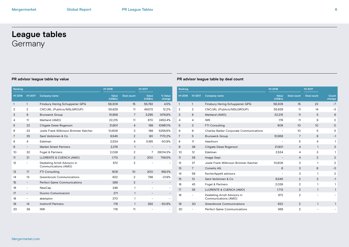# **League tables Germany**

| Ranking |                          |                                                     | H1 2018          |                   | H <sub>1</sub> 2017      |                   | Rank            |
|---------|--------------------------|-----------------------------------------------------|------------------|-------------------|--------------------------|-------------------|-----------------|
| H1 2018 | H1 2017                  | <b>Company name</b>                                 | Value<br>(US\$m) | <b>Deal count</b> | Value<br>(US\$m)         | % Value<br>change | H <sub>12</sub> |
| 1       | $\mathbf{1}$             | Finsbury Hering Schuppener GPG                      | 58,308           | 15                | 55,782                   | 4.5%              | 1               |
| 2       | 2                        | CNC/JKL (Publicis/MSLGROUP)                         | 55,629           | 11                | 49,572                   | 12.2%             | $\overline{2}$  |
| 3       | 6                        | <b>Brunswick Group</b>                              | 51,958           | 7                 | 3,295                    | 1476.9%           | 3               |
| 4       | 11                       | Maitland (AMO)                                      | 22,215           | 11                | 870                      | 2453.4%           | 4               |
| 5       | 22                       | Citigate Dewe Rogerson                              | 21.901           | $\overline{4}$    | 198                      | 10961.1%          | 5               |
| 6       | 23                       | Joele Frank Wilkinson Brimmer Katcher               | 10.606           | 3                 | 198                      | 5256.6%           | 6               |
| 7       | 25                       | Sard Verbinnen & Co.                                | 6,545            | 2                 | 90                       | 7172.2%           | 7               |
| 8       | $\overline{4}$           | Edelman                                             | 2,534            | 4                 | 5,165                    | $-50.9%$          | 8               |
| 9       | $\overline{\phantom{a}}$ | <b>Market Street Partners</b>                       | 2,276            | $\mathbf{1}$      | $\overline{\phantom{a}}$ |                   | 9               |
| 10      | 32                       | Fogel & Partners                                    | 2,038            | $\overline{2}$    | 7                        | 29014.3%          | 10 <sup>°</sup> |
| 11      | 21                       | LLORENTE & CUENCA (AMO)                             | 1.713            | $\overline{2}$    | 200                      | 756.5%            | 11              |
| 12      | $\overline{\phantom{a}}$ | Deekeling Arndt Advisors in<br>Communications (AMO) | 872              | $\overline{2}$    | $\overline{a}$           | $\overline{a}$    | 12<br>13        |
| 13      | 17                       | <b>FTI Consulting</b>                               | 808              | 10 <sup>°</sup>   | 300                      | 169.3%            | 14              |
| 14      | 13                       | <b>Greenbrook Communications</b>                    | 622              | $\overline{2}$    | 796                      | $-21.9%$          | 15              |
| 15      | $\overline{\phantom{a}}$ | <b>Perfect Game Communications</b>                  | 369              | 2                 | $\qquad \qquad -$        |                   | 16              |
| 16      | $\overline{\phantom{a}}$ | NewCap                                              | 346              | 1                 | $\overline{a}$           | $\overline{a}$    | 17              |
| 17      | $\overline{\phantom{a}}$ | Duomo Comunicacion                                  | 271              | $\mathbf{1}$      | $\qquad \qquad -$        |                   | 18              |
| 18      | $\overline{\phantom{a}}$ | akampion                                            | 270              | $\mathbf{1}$      | $\overline{a}$           | $\overline{a}$    |                 |
| 19      | 14                       | <b>Instinctif Partners</b>                          | 178              | $\mathbf{1}$      | 362                      | $-50.8%$          | 19              |
| 20      | 36                       | <b>IWK</b>                                          | 176              | 11                |                          |                   | 20              |

| Ranking |                |                                                     | H1 2018                  |                   | H1 2017         |                 |
|---------|----------------|-----------------------------------------------------|--------------------------|-------------------|-----------------|-----------------|
| H1 2018 | H1 2017        | <b>Company name</b>                                 | Value<br>(US\$m)         | <b>Deal count</b> | Deal count      | Count<br>change |
| 1       | 1              | Finsbury Hering Schuppener GPG                      | 58,308                   | 15                | 22              | $-7$            |
| 2       | 2              | CNC/JKL (Publicis/MSLGROUP)                         | 55,629                   | 11                | 14              | -3              |
| 3       | 8              | Maitland (AMO)                                      | 22,215                   | 11                | 5               | 6               |
| 4       | 4              | <b>IWK</b>                                          | 176                      | 11                | 9               | 2               |
| 5       | 3              | <b>FTI Consulting</b>                               | 808                      | 10                | 10 <sup>°</sup> | $\circ$         |
| 6       | 9              | <b>Charles Barker Corporate Communications</b>      |                          | 10                | 5               | 5               |
| 7       | 5              | <b>Brunswick Group</b>                              | 51,958                   | 7                 | 8               | $-1$            |
| 8       | 11             | Hawthorn                                            |                          | 5                 | 4               | 1               |
| 9       | 36             | Citigate Dewe Rogerson                              | 21,901                   | 4                 | 1               | 3               |
| 10      | 12             | Edelman                                             | 2,534                    | 4                 | 3               | 1               |
| 11      | 26             | Image Sept                                          |                          | $\overline{4}$    | 2               | $\overline{2}$  |
| 12      | 37             | Joele Frank Wilkinson Brimmer Katcher               | 10,606                   | 3                 | 1               | 2               |
| 13      | $\overline{7}$ | Cometis AG                                          | 6                        | 3                 | 6               | -3              |
| 14      | 59             | fischerAppelt advisors                              | $\overline{\phantom{0}}$ | 3                 | $\mathbf{1}$    | $\overline{2}$  |
| 15      | 13             | Sard Verbinnen & Co                                 | 6,545                    | 2                 | 3               | $-1$            |
| 16      | 43             | Fogel & Partners                                    | 2,038                    | 2                 | 1               | 1               |
| 17      | 35             | LLORENTE & CUENCA (AMO)                             | 1,713                    | 2                 | $\mathbf{1}$    | 1               |
| 18      | -              | Deekeling Arndt Advisors in<br>Communications (AMO) | 872                      | $\overline{2}$    |                 |                 |
| 19      | 30             | <b>Greenbrook Communications</b>                    | 622                      | $\overline{2}$    | 1               | 1               |
| 20      | ۰              | <b>Perfect Game Communications</b>                  | 369                      | $\overline{2}$    |                 |                 |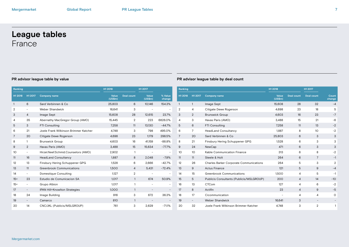# **League tables** France

| Ranking        |                          |                                       | H1 2018          |                   | H1 2017                  |                          | Ranking        |                          |
|----------------|--------------------------|---------------------------------------|------------------|-------------------|--------------------------|--------------------------|----------------|--------------------------|
| H1 2018        | H1 2017                  | <b>Company name</b>                   | Value<br>(US\$m) | <b>Deal count</b> | Value<br>(US\$m)         | % Value<br>change        | H1 2018        | H1 2017                  |
| 1              | 6                        | Sard Verbinnen & Co.                  | 25,803           | 6                 | 10,146                   | 154.3%                   | $\mathbf{1}$   | $\mathbf{1}$             |
| $\overline{2}$ | $\overline{\phantom{a}}$ | <b>Weber Shandwick</b>                | 16,641           | 3                 | $\overline{\phantom{a}}$ |                          | $\overline{2}$ | 4                        |
| 3              | $\overline{4}$           | Image Sept                            | 15,608           | 28                | 12,615                   | 23.7%                    | 3              | $\overline{2}$           |
| 4              | 35                       | Abernathy MacGregor Group (AMO)       | 15,445           | 2                 | 223                      | 6826.0%                  | 4              | 3                        |
| 5              | 3                        | <b>FTI Consulting</b>                 | 7,258            | 11                | 13,130                   | $-44.7%$                 | 5              | 6                        |
| 6              | 21                       | Joele Frank Wilkinson Brimmer Katcher | 4.748            | 3                 | 798                      | 495.0%                   | 6              | $\overline{7}$           |
| 7              | 20                       | Citigate Dewe Rogerson                | 4,698            | 23                | 1,179                    | 298.5%                   | 7              | 20                       |
| 8              | 1                        | <b>Brunswick Group</b>                | 4,603            | 16                | 41,159                   | $-88.8%$                 | 8              | 21                       |
| 9              | 2                        | Havas Paris (AMO)                     | 3,488            | 15                | 15,634                   | $-77.7%$                 | 9              | 24                       |
| 10             | $\overline{\phantom{a}}$ | Hirzel.Neef.Schmid.Counselors (AMO)   | 2,902            | $\mathbf{1}$      | $\overline{\phantom{a}}$ |                          | 10             | 10 <sup>°</sup>          |
| 11             | 16                       | <b>HeadLand Consultancy</b>           | 1,887            | 8                 | 2,048                    | $-7.9%$                  | 11             | 11                       |
| 12             | 13                       | Finsbury Hering Schuppener GPG        | 1,528            | 6                 | 2,666                    | $-42.7%$                 | 12             | 26                       |
| 13             | 11                       | <b>Greenbrook Communications</b>      | 1,500            | 4                 | 5,431                    | $-72.4%$                 | 13             | 9                        |
| 14             | $\overline{\phantom{a}}$ | Domestique Consulting                 | 1.127            | $\overline{2}$    | $\overline{\phantom{a}}$ |                          | 14             | 15                       |
| $15 =$         | 23                       | Estudio de Comunicacion SA            | 1,017            | $\mathbf{1}$      | 674                      | 50.9%                    | 15             | 5                        |
| $15 =$         | $\overline{\phantom{a}}$ | Grupo Albion                          | 1,017            | $\mathbf{1}$      | $\overline{\phantom{a}}$ | $\overline{\phantom{0}}$ | 16             | 13                       |
| 17             | $\overline{\phantom{a}}$ | IPAN Hill+Knowlton Strategies         | 1,000            | $\mathbf{1}$      | $\overline{\phantom{a}}$ | $\overline{\phantom{0}}$ | 17             | 8                        |
| 18             | 24                       | Image Building                        | 916              | 3                 | 672                      | 36.3%                    | 18             | 17                       |
| 19             | $\overline{\phantom{a}}$ | Camarco                               | 810              | $\mathbf{1}$      | $\overline{\phantom{a}}$ |                          | 19             | $\overline{\phantom{a}}$ |
| 20             | 14                       | CNC/JKL (Publicis/MSLGROUP)           | 761              | 3                 | 2,629                    | $-71.1%$                 | 20             | 32                       |

| Ranking |                |                                                |                  |                   | H1 2017           |                 |
|---------|----------------|------------------------------------------------|------------------|-------------------|-------------------|-----------------|
| H1 2018 | H1 2017        | <b>Company name</b>                            | Value<br>(US\$m) | <b>Deal count</b> | <b>Deal count</b> | Count<br>change |
| 1       | 1              | Image Sept                                     | 15,608           | 28                | 32                | $-4$            |
| 2       | 4              | Citigate Dewe Rogerson                         | 4,698            | 23                | 18                | 5               |
| 3       | $\overline{2}$ | <b>Brunswick Group</b>                         | 4,603            | 16                | 23                | $-7$            |
| 4       | 3              | Havas Paris (AMO)                              | 3,488            | 15                | 21                | -6              |
| 5       | 6              | <b>FTI Consulting</b>                          | 7,258            | 11                | 13                | $-2$            |
| 6       | 7              | <b>HeadLand Consultancy</b>                    | 1.887            | 8                 | 10                | $-2$            |
| 7       | 20             | Sard Verbinnen & Co.                           | 25,803           | 6                 | 3                 | 3               |
| 8       | 21             | Finsbury Hering Schuppener GPG                 | 1,528            | 6                 | 3                 | 3               |
| 9       | 24             | NewCap                                         | 471              | 6                 | 3                 | 3               |
| 10      | 10             | Kable Communication Finance                    | 313              | 6                 | 8                 | $-2$            |
| 11      | 11             | Steele & Holt                                  | 264              | 6                 | $\overline{7}$    | $-1$            |
| 12      | 26             | <b>Charles Barker Corporate Communications</b> | 264              | 5                 | 3                 | $\overline{2}$  |
| 13      | 9              | <b>Actus Finance</b>                           | 121              | 5                 | 9                 | $-4$            |
| 14      | 15             | <b>Greenbrook Communications</b>               | 1,500            | 4                 | 5                 | $-1$            |
| 15      | 5              | Publicis Consultants (Publicis/MSLGROUP)       | 200              | $\overline{4}$    | 14                | $-10$           |
| 16      | 13             | CTCom                                          | 127              | 4                 | 6                 | $-2$            |
| 17      | 8              | Actifin                                        | 23               | $\overline{4}$    | 9                 | -5              |
| 18      | 17             | Cicommunication                                |                  | 4                 | 4                 | O               |
| 19      | $\overline{a}$ | <b>Weber Shandwick</b>                         | 16,641           | 3                 |                   |                 |
| 20      | 32             | Joele Frank Wilkinson Brimmer Katcher          | 4,748            | 3                 | $\overline{2}$    | 1               |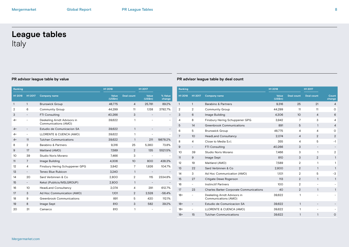# **League tables** Italy

| Ranking |                          |                                                     | H1 2018          |                   | H1 2017                  |                   |
|---------|--------------------------|-----------------------------------------------------|------------------|-------------------|--------------------------|-------------------|
| H1 2018 | H1 2017                  | <b>Company name</b>                                 | Value<br>(US\$m) | <b>Deal count</b> | Value<br>(US\$m)         | % Value<br>change |
| 1       | $\mathbf{1}$             | <b>Brunswick Group</b>                              | 48,775           | $\overline{4}$    | 25,781                   | 89.2%             |
| 2       | 6                        | <b>Community Group</b>                              | 44,299           | 11                | 1,138                    | 3792.7%           |
| 3       | $\overline{\phantom{a}}$ | FTI Consulting                                      | 40,266           | 3                 |                          |                   |
| 4=      | $\overline{\phantom{a}}$ | Deekeling Arndt Advisors in<br>Communications (AMO) | 39.622           | 1                 |                          |                   |
| $4=$    |                          | Estudio de Comunicacion SA                          | 39,622           | $\mathbf{1}$      |                          |                   |
| $4=$    | $\overline{\phantom{a}}$ | LLORENTE & CUENCA (AMO)                             | 39,622           | 1                 |                          |                   |
| $4=$    | 11                       | <b>Tulchan Communications</b>                       | 39,622           | $\mathbf{1}$      | 211                      | 18678.2%          |
| 8       | $\overline{2}$           | Barabino & Partners                                 | 9.316            | 25                | 5,360                    | 73.8%             |
| 9       | 17                       | Maitland (AMO)                                      | 7,589            | 2                 | 135                      | 5521.5%           |
| 10      | 39                       | Studio Noris Morano                                 | 7,466            | 3                 | $\overline{\phantom{0}}$ |                   |
| 11      | $\overline{7}$           | Image Building                                      | 4,306            | 10                | 800                      | 438.3%            |
| 12      | 4                        | Finsbury Hering Schuppener GPG                      | 3,942            | 7                 | 1,926                    | 104.7%            |
| 13      | $\overline{\phantom{a}}$ | Teneo Blue Rubicon                                  | 3,240            | $\mathbf{1}$      |                          |                   |
| 14      | 20                       | Sard Verbinnen & Co                                 | 2.800            | $\overline{2}$    | 115                      | 2334.8%           |
| 15      | $\overline{\phantom{a}}$ | Kekst (Publicis/MSLGROUP)                           | 2,800            | $\mathbf{1}$      |                          |                   |
| 16      | 10                       | <b>HeadLand Consultancy</b>                         | 2,074            | 4                 | 291                      | 612.7%            |
| 17      | 3                        | Ad Hoc Communication (AMO)                          | 1.101            | $\overline{2}$    | 2,528                    | $-56.4%$          |
| 18      | 9                        | <b>Greenbrook Communications</b>                    | 891              | 5                 | 420                      | 112.1%            |
| 19      | 8                        | Image Sept                                          | 810              | 3                 | 582                      | 39.2%             |
| 20      | 31                       | Camarco                                             | 810              | 1                 |                          |                   |

| Ranking |                          |                                                     | H1 2018                 |                   | H1 2017                  |                 |
|---------|--------------------------|-----------------------------------------------------|-------------------------|-------------------|--------------------------|-----------------|
| H1 2018 | H1 2017                  | <b>Company name</b>                                 | <b>Value</b><br>(US\$m) | <b>Deal count</b> | <b>Deal count</b>        | Count<br>change |
| 1       | $\mathbf{1}$             | Barabino & Partners                                 | 9,316                   | 25                | 21                       | $\overline{4}$  |
| 2       | 2                        | <b>Community Group</b>                              | 44.299                  | 11                | 11                       | 0               |
| 3       | 6                        | Image Building                                      | 4.306                   | 10 <sup>2</sup>   | $\overline{4}$           | 6               |
| 4       | 8                        | Finsbury Hering Schuppener GPG                      | 3,942                   | 7                 | 3                        | 4               |
| 5       | 14                       | <b>Greenbrook Communications</b>                    | 891                     | 5                 | $\mathbf{1}$             | $\overline{4}$  |
| 6       | 5                        | <b>Brunswick Group</b>                              | 48,775                  | 4                 | 4                        | 0               |
| 7       | 10                       | <b>HeadLand Consultancy</b>                         | 2,074                   | $\overline{4}$    | 2                        | 2               |
| 8       | 4                        | Close to Media S.r.l.                               | 355                     | 4                 | 5                        | $-1$            |
| 9       | $\overline{\phantom{0}}$ | <b>FTI Consulting</b>                               | 40,266                  | 3                 | $\overline{\phantom{0}}$ |                 |
| 10      | 39                       | Studio Noris Morano                                 | 7.466                   | 3                 | 1                        | $\overline{2}$  |
| 11      | 9                        | Image Sept                                          | 810                     | 3                 | $\overline{2}$           | $\mathbf{1}$    |
| 12      | 19                       | Maitland (AMO)                                      | 7.589                   | $\overline{2}$    | 1                        | $\mathbf{1}$    |
| 13      | 22                       | Sard Verbinnen & Co.                                | 2,800                   | $\overline{2}$    | $\mathbf{1}$             | $\mathbf{1}$    |
| 14      | 3                        | Ad Hoc Communication (AMO)                          | 1,101                   | $\overline{2}$    | 5                        | -3              |
| 15      | 27                       | Citigate Dewe Rogerson                              | 113                     | $\overline{2}$    | $\mathbf{1}$             | $\mathbf{1}$    |
| 16      | -                        | <b>Instinctif Partners</b>                          | 100                     | $\overline{2}$    | -                        |                 |
| 17      | 23                       | <b>Charles Barker Corporate Communications</b>      | 40                      | 2                 | $\mathbf{1}$             | $\mathbf{1}$    |
| 18=     | $\overline{\phantom{0}}$ | Deekeling Arndt Advisors in<br>Communications (AMO) | 39,622                  | 1                 | ۰                        |                 |
| $18 =$  | $\overline{\phantom{0}}$ | Estudio de Comunicacion SA                          | 39,622                  | $\mathbf{1}$      |                          |                 |
| 18=     | $\overline{\phantom{0}}$ | LLORENTE & CUENCA (AMO)                             | 39,622                  | 1                 | -                        |                 |
| $18 =$  | 15                       | <b>Tulchan Communications</b>                       | 39,622                  | 1                 | 1                        | $\circ$         |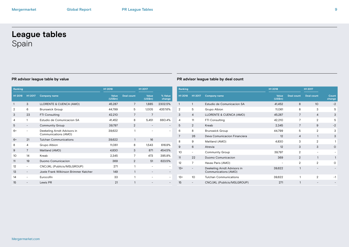# **League tables** Spain

| Ranking |                          |                                                     | H1 2018          |                | H1 2017                  |                   |
|---------|--------------------------|-----------------------------------------------------|------------------|----------------|--------------------------|-------------------|
| H1 2018 | H1 2017                  | <b>Company name</b>                                 | Value<br>(US\$m) | Deal count     | Value<br>(US\$m)         | % Value<br>change |
|         | 3                        | LLORENTE & CUENCA (AMO)                             | 45,287           | $\overline{7}$ | 1,885                    | 2302.5%           |
| 2       | 6                        | <b>Brunswick Group</b>                              | 44.799           | 5              | 1,005                    | 4357.6%           |
| 3       | 23                       | <b>FTI Consulting</b>                               | 42,210           | $\overline{7}$ | 7                        |                   |
| 4       | 1                        | Estudio de Comunicacion SA                          | 41,452           | 8              | 5.451                    | 660.4%            |
| 5       | $\overline{\phantom{a}}$ | <b>Community Group</b>                              | 39,797           | $\overline{2}$ | $\overline{\phantom{0}}$ |                   |
| $6=$    | -                        | Deekeling Arndt Advisors in<br>Communications (AMO) | 39,622           | 1              |                          |                   |
| $6=$    | 21                       | <b>Tulchan Communications</b>                       | 39,622           | $\mathbf{1}$   | 16                       |                   |
| 8       | 4                        | Grupo Albion                                        | 11,061           | 8              | 1,543                    | 616.9%            |
| 9       | $\overline{7}$           | Maitland (AMO)                                      | 4,830            | 3              | 871                      | 454.5%            |
| 10      | 14                       | Kreab                                               | 2,345            | 7              | 473                      | 395.8%            |
| 11      | 19                       | Duomo Comunicacion                                  | 369              | 2              | 51                       | 623.5%            |
| 12      | $\overline{\phantom{0}}$ | CNC/JKL (Publicis/MSLGROUP)                         | 271              | 1              | ۰                        |                   |
| 13      | $\overline{\phantom{0}}$ | Joele Frank Wilkinson Brimmer Katcher               | 149              | $\mathbf{1}$   | $\qquad \qquad -$        |                   |
| 14      | -                        | Eurocofin                                           | 33               | $\mathbf{1}$   |                          |                   |
| 15      |                          | Lewis PR                                            | 21               | 1              |                          |                   |

| Ranking |                |                                                     | H1 2018          |                | H1 2017           |                 |
|---------|----------------|-----------------------------------------------------|------------------|----------------|-------------------|-----------------|
| H1 2018 | H1 2017        | <b>Company name</b>                                 | Value<br>(US\$m) | Deal count     | <b>Deal count</b> | Count<br>change |
|         | 1              | Estudio de Comunicacion SA                          | 41,452           | 8              | 10                | $-2$            |
| 2       | 5              | Grupo Albion                                        | 11,061           | 8              | 3                 | 5               |
| 3       | $\overline{4}$ | LLORENTE & CUENCA (AMO)                             | 45,287           | 7              | 4                 | 3               |
| 4       | 11             | <b>FTI Consulting</b>                               | 42,210           | 7              | 2                 | 5               |
| 5       | 2              | Kreab                                               | 2,345            | 7              | 9                 | $-2$            |
| 6       | 8              | <b>Brunswick Group</b>                              | 44,799           | 5              | $\overline{2}$    | 3               |
| 7       | 26             | Deva Comunicacion Financiera                        | 12               | $\overline{4}$ | 1                 | 3               |
| 8       | 9              | Maitland (AMO)                                      | 4,830            | 3              | $\overline{2}$    | 1               |
| 9       | 6              | Atrevia                                             | 12               | 3              | 3                 | $\circ$         |
| 10      | -              | <b>Community Group</b>                              | 39,797           | $\overline{2}$ |                   |                 |
| 11      | 22             | Duomo Comunicacion                                  | 369              | $\overline{2}$ | $\mathbf{1}$      | 1               |
| 12      | 7              | Havas Paris (AMO)                                   |                  | $\overline{2}$ | $\overline{2}$    | O               |
| 13=     |                | Deekeling Arndt Advisors in<br>Communications (AMO) | 39,622           | 1              |                   |                 |
| 13=     | 10             | <b>Tulchan Communications</b>                       | 39,622           | 1              | $\overline{2}$    | $-1$            |
| 15      |                | CNC/JKL (Publicis/MSLGROUP)                         | 271              | 1              |                   |                 |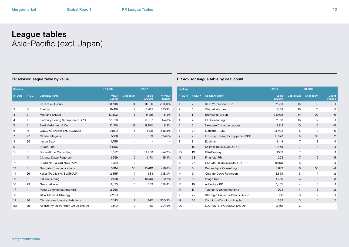# **League tables** Asia-Pacific (excl. Japan)

| Ranking        |                          |                                       | H1 2018          |                   | H1 2017                  |                          | Ranking        |                   |                  |
|----------------|--------------------------|---------------------------------------|------------------|-------------------|--------------------------|--------------------------|----------------|-------------------|------------------|
| H1 2018        | H1 2017                  | <b>Company name</b>                   | Value<br>(US\$m) | <b>Deal count</b> | Value<br>(US\$m)         | % Value<br>change        | H1 2018        | H1 2017           | Comp             |
| $\mathbf{1}$   | 6                        | <b>Brunswick Group</b>                | 33,706           | 14                | 11,086                   | 204.0%                   | $\mathbf{1}$   | 2                 | Sard             |
| $\overline{2}$ | 13                       | Edelman                               | 19,418           | 7                 | 2,477                    | 683.9%                   | $\overline{2}$ | 5                 | Citac            |
| 3              | $\overline{2}$           | Maitland (AMO)                        | 13,402           | 8                 | 14,311                   | $-6.4%$                  | 3              | $\mathbf{1}$      | <b>Brun</b>      |
| 4              | $\overline{7}$           | Finsbury Hering Schuppener GPG        | 13,323           | 8                 | 8,607                    | 54.8%                    | 4              | 4                 | FTI <sub>C</sub> |
| 5              | 5                        | Sard Verbinnen & Co                   | 12,218           | 18                | 11,280                   | 8.3%                     | 5              | 3                 | Newg             |
| 6              | 16                       | CNC/JKL (Publicis/MSLGROUP)           | 9,960            | 6                 | 1,331                    | 648.3%                   | 6              | 21                | Maitl            |
| 7              | 27                       | <b>Citadel Magnus</b>                 | 5,168            | 16                | 559                      | 824.5%                   | 7              | $\overline{7}$    | Finsk            |
| 8              | 96                       | Image Sept                            | 4,755            | 4                 |                          | $\overline{\phantom{a}}$ | 8              | 8                 | Edelr            |
| 9              | $\overline{\phantom{a}}$ | <b>Ruder Finn</b>                     | 4.066            | $\mathbf{1}$      |                          |                          | 9              | 18                | <b>Keks</b>      |
| 10             | 3                        | Domestique Consulting                 | 3,672            | 6                 | 14,253                   | $-74.2%$                 | 10             | 10                | <b>GRA</b>       |
| 11             | 11                       | Citigate Dewe Rogerson                | 3,659            | 5                 | 3,170                    | 15.4%                    | 11             | 38                | Finar            |
| 12             | $\overline{\phantom{a}}$ | LLORENTE & CUENCA (AMO)               | 3,461            | $\overline{2}$    | $\overline{\phantom{a}}$ | $\overline{\phantom{a}}$ | 12             | 25                | CNC              |
| 13             | $\mathbf{1}$             | Newgate Communications                | 3,314            | 10 <sup>°</sup>   | 16,410                   | $-79.8%$                 | 13             | 6                 | Dom              |
| 14             | 26                       | Kekst (Publicis/MSLGROUP)             | 2,855            | 7                 | 683                      | 318.0%                   | 14             | 9                 | Citig            |
| 15             | 8                        | FTI Consulting                        | 2,518            | 13                | 6,940                    | $-63.7%$                 | 15             | 96                | Imag             |
| 16             | 23                       | Grupo Albion                          | 2,475            | $\mathbf{1}$      | 889                      | 178.4%                   | 16             | 16                | Adfa             |
| 17             | $\overline{\phantom{a}}$ | Point Communications ApS              | 2,268            | $\mathbf{1}$      |                          |                          | 17             | 11                | Tulch            |
| 18             | $\overline{\phantom{a}}$ | <b>GFW Media &amp; Strategy</b>       | 2,250            | $\mathbf{1}$      |                          | $\overline{\phantom{a}}$ | 18             | 22                | Strat            |
| 19             | 36                       | <b>Christensen Investor Relations</b> | 2,143            | $\overline{2}$    | 340                      | 530.3%                   | 19             | 63                | Canr             |
| 20             | 25                       | Abernathy MacGregor Group (AMO)       | 2,140            | $\overline{2}$    | 710                      | 201.4%                   | 20             | $\qquad \qquad -$ | <b>LLOF</b>      |

| Ranking        |                 |                                         | H1 2018          |                   | H1 2017                  |                 |
|----------------|-----------------|-----------------------------------------|------------------|-------------------|--------------------------|-----------------|
| H1 2018        | H1 2017         | <b>Company name</b>                     | Value<br>(US\$m) | <b>Deal count</b> | <b>Deal count</b>        | Count<br>change |
| 1              | $\overline{2}$  | Sard Verbinnen & Co.                    | 12,218           | 18                | 19                       | $-1$            |
| $\overline{2}$ | 5               | Citadel Magnus                          | 5,168            | 16                | 11                       | 5               |
| 3              | $\mathbf{1}$    | <b>Brunswick Group</b>                  | 33,706           | 14                | 20                       | $-6$            |
| 4              | 4               | <b>FTI Consulting</b>                   | 2,518            | 13                | 12                       | 1               |
| 5              | 3               | <b>Newgate Communications</b>           | 3,314            | 10 <sup>1</sup>   | 15                       | $-5$            |
| 6              | 21              | Maitland (AMO)                          | 13,402           | 8                 | $\overline{2}$           | 6               |
| 7              | $\overline{7}$  | Finsbury Hering Schuppener GPG          | 13,323           | 8                 | 10                       | $-2$            |
| 8              | 8               | Edelman                                 | 19,418           | 7                 | 8                        | $-1$            |
| 9              | 18              | Kekst (Publicis/MSLGROUP)               | 2,855            | $\overline{7}$    | 3                        | $\overline{4}$  |
| 10             | 10 <sup>2</sup> | GRACosway                               | 1,103            | 7                 | 6                        | 1               |
| 11             | 38              | <b>Financial PR</b>                     | 223              | $\overline{7}$    | $\overline{2}$           | 5               |
| 12             | 25              | CNC/JKL (Publicis/MSLGROUP)             | 9,960            | 6                 | $\overline{2}$           | 4               |
| 13             | 6               | Domestique Consulting                   | 3,672            | 6                 | 10 <sup>°</sup>          | $-4$            |
| 14             | 9               | Citigate Dewe Rogerson                  | 3,659            | 5                 | 7                        | $-2$            |
| 15             | 96              | Image Sept                              | 4,755            | $\overline{4}$    | $\mathbf{1}$             | 3               |
| 16             | 16              | <b>Adfactors PR</b>                     | 1,445            | 4                 | 3                        | 1               |
| 17             | 11              | <b>Tulchan Communications</b>           | 204              | $\overline{4}$    | 6                        | $-2$            |
| 18             | 22              | <b>Strategic Public Relations Group</b> | 716              | 3                 | $\overline{2}$           | 1               |
| 19             | 63              | Cannings/Cannings Purple                | 382              | 3                 | 1                        | 2               |
| 20             |                 | LLORENTE & CUENCA (AMO)                 | 3,461            | $\overline{2}$    | $\overline{\phantom{0}}$ |                 |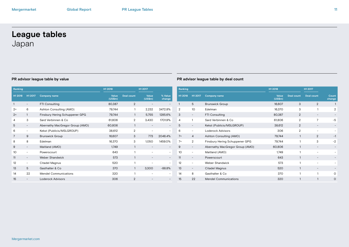# **League tables** Japan

| Ranking         |                          |                                 | H1 2018          |                | H1 2017          |                          | Ra             |
|-----------------|--------------------------|---------------------------------|------------------|----------------|------------------|--------------------------|----------------|
| H1 2018         | H1 2017                  | <b>Company name</b>             | Value<br>(US\$m) | Deal count     | Value<br>(US\$m) | % Value<br>change        | H1             |
|                 |                          | <b>FTI Consulting</b>           | 80,387           | $\overline{2}$ |                  |                          |                |
| $2 =$           | 6                        | Ashton Consulting (AMO)         | 79,744           | 1              | 2,232            | 3472.8%                  | $\overline{2}$ |
| $2 =$           | $\mathbf{1}$             | Finsbury Hering Schuppener GPG  | 79,744           | 1              | 5,755            | 1285.6%                  | 3              |
| 4               | 3                        | Sard Verbinnen & Co.            | 61,806           | 2              | 3,430            | 1701.9%                  | 4              |
| 5               | $\overline{\phantom{a}}$ | Abernathy MacGregor Group (AMO) | 60,806           | 1              |                  |                          | 5              |
| 6               | $\overline{\phantom{0}}$ | Kekst (Publicis/MSLGROUP)       | 38,612           | $\overline{2}$ |                  | $\overline{\phantom{0}}$ | 6              |
| 7               | 9                        | <b>Brunswick Group</b>          | 16,607           | 3              | 773              | 2048.4%                  | $7=$           |
| 8               | 8                        | Edelman                         | 16,370           | 3              | 1,050            | 1459.0%                  | $7=$           |
| 9               | -                        | Maitland (AMO)                  | 1,749            | 1              |                  |                          | 9              |
| 10 <sup>2</sup> |                          | Powerscourt                     | 643              | 1              |                  | $\overline{\phantom{0}}$ | 1C             |
| 11              | $\overline{\phantom{a}}$ | Weber Shandwick                 | 573              | $\mathbf{1}$   |                  |                          | 11             |
| 12              | $\overline{\phantom{0}}$ | Citadel Magnus                  | 520              | 1              | ۰                | -                        | 12             |
| 13              | 5                        | Gasthalter & Co.                | 370              | 1              | 3,300            | $-88.8%$                 | 13             |
| 14              | 22                       | <b>Mendel Communications</b>    | 320              | 1              |                  | -                        | 14             |
| 15              |                          | Loderock Advisors               | 306              | $\overline{2}$ |                  |                          | 15             |

| Ranking        |                          |                                 | H1 2018          |                   | H1 2017                  |                 |
|----------------|--------------------------|---------------------------------|------------------|-------------------|--------------------------|-----------------|
| H1 2018        | H1 2017                  | <b>Company name</b>             | Value<br>(US\$m) | <b>Deal count</b> | <b>Deal count</b>        | Count<br>change |
| 1              | 5                        | <b>Brunswick Group</b>          | 16,607           | 3                 | $\overline{2}$           | 1               |
| $\overline{2}$ | 10 <sup>2</sup>          | Edelman                         | 16,370           | 3                 | 1                        | $\overline{2}$  |
| 3              | -                        | <b>FTI Consulting</b>           | 80,387           | $\overline{2}$    | $\overline{\phantom{0}}$ |                 |
| 4              | 1                        | Sard Verbinnen & Co.            | 61,806           | $\mathbf{2}$      | $\overline{7}$           | -5              |
| 5              |                          | Kekst (Publicis/MSLGROUP)       | 38,612           | $\overline{2}$    |                          |                 |
| 6              | $\overline{a}$           | <b>Loderock Advisors</b>        | 306              | $\mathbf{2}$      | -                        |                 |
| $7=$           | $\overline{4}$           | Ashton Consulting (AMO)         | 79,744           | 1                 | 2                        | $-1$            |
| $7=$           | $\overline{2}$           | Finsbury Hering Schuppener GPG  | 79,744           |                   | 3                        | $-2$            |
| 9              | $\overline{\phantom{0}}$ | Abernathy MacGregor Group (AMO) | 60,806           | 1                 |                          |                 |
| 10             |                          | Maitland (AMO)                  | 1,749            | 1                 |                          |                 |
| 11             |                          | Powerscourt                     | 643              | 1                 |                          |                 |
| 12             | $\overline{a}$           | Weber Shandwick                 | 573              | 1                 | ۰                        |                 |
| 13             | $\overline{\phantom{a}}$ | Citadel Magnus                  | 520              | 1                 | $\overline{\phantom{0}}$ |                 |
| 14             | 8                        | Gasthalter & Co.                | 370              | 1                 | 1                        | $\Omega$        |
| 15             | 22                       | <b>Mendel Communications</b>    | 320              |                   | 1                        | O               |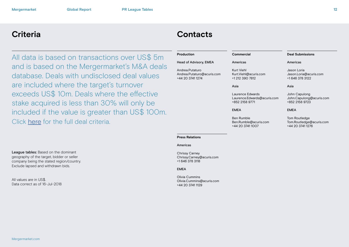# **Criteria Contacts**

All data is based on transactions over US\$ 5m and is based on the Mergermarket's M&A deals database. Deals with undisclosed deal values are included where the target's turnover exceeds US\$ 10m. Deals where the effective stake acquired is less than 30% will only be included if the value is greater than US\$ 100m. Click [here](http://http://www.mergermarket.com/pdf/deal_criteria.pdf) for the full deal criteria.

### **Commercial** Americas Kurt Viehl Kurt.Viehl@acuris.com +1 212 390 7812 Asia Laurence Edwards Laurence.Edwards@acuris.com +852 2158 9771 EMEA Ben Rumble Ben.Rumble@acuris.com +44 20 3741 1007 **Deal Submissions** Americas Jason Loria Jason.Loria@acuris.com +1 646 378 3122 Asia John Capulong John.Capulong@acuris.com +852 2158 9723 EMEA Tom Routledge Tom.Routledge@acuris.com +44 20 3741 1276 **Production** Head of Advisory, EMEA Andrea.Putaturo Andrea.Putaturo@acuris.com +44 20 3741 1274

### **Press Relations**

### Americas

Chrissy Carney Chrissy.Carney@acuris.com +1 646 378 3118

### EMEA

Olivia Cummins Olivia.Cummins@acuris.com +44 20 3741 1129

League tables: Based on the dominant geography of the target, bidder or seller company being the stated region/country. Exclude lapsed and withdrawn bids.

All values are in US\$. Data correct as of 16-Jul-2018